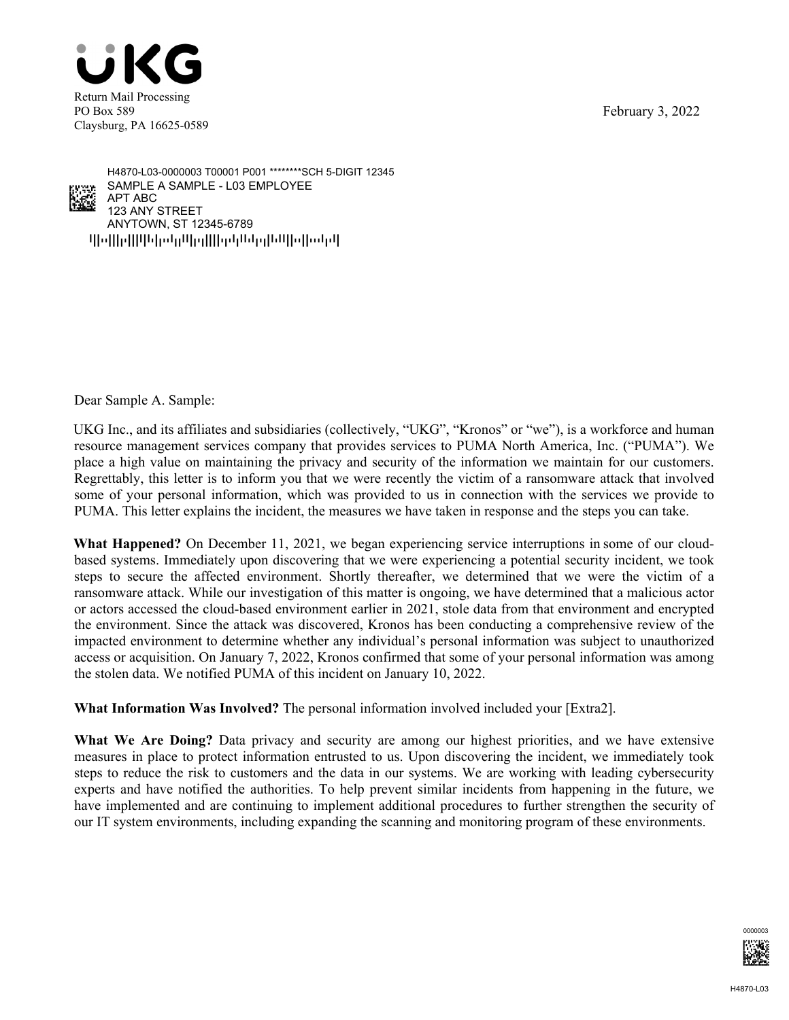February 3, 2022





 $q$ pps $\eta$ pppp $\eta$  pp $\eta$ pppp $\eta$ ANYTOWN, ST 12345-6789 123 ANY STREET APT ABC SAMPLE A SAMPLE - L03 EMPLOYEE H4870-L03-0000003 T00001 P001 \*\*\*\*\*\*\*\*SCH 5-DIGIT 12345

Dear Sample A. Sample:

UKG Inc., and its affiliates and subsidiaries (collectively, "UKG", "Kronos" or "we"), is a workforce and human resource management services company that provides services to PUMA North America, Inc. ("PUMA"). We place a high value on maintaining the privacy and security of the information we maintain for our customers. Regrettably, this letter is to inform you that we were recently the victim of a ransomware attack that involved some of your personal information, which was provided to us in connection with the services we provide to PUMA. This letter explains the incident, the measures we have taken in response and the steps you can take.

**What Happened?** On December 11, 2021, we began experiencing service interruptions in some of our cloudbased systems. Immediately upon discovering that we were experiencing a potential security incident, we took steps to secure the affected environment. Shortly thereafter, we determined that we were the victim of a ransomware attack. While our investigation of this matter is ongoing, we have determined that a malicious actor or actors accessed the cloud-based environment earlier in 2021, stole data from that environment and encrypted the environment. Since the attack was discovered, Kronos has been conducting a comprehensive review of the impacted environment to determine whether any individual's personal information was subject to unauthorized access or acquisition. On January 7, 2022, Kronos confirmed that some of your personal information was among the stolen data. We notified PUMA of this incident on January 10, 2022.

**What Information Was Involved?** The personal information involved included your [Extra2].

**What We Are Doing?** Data privacy and security are among our highest priorities, and we have extensive measures in place to protect information entrusted to us. Upon discovering the incident, we immediately took steps to reduce the risk to customers and the data in our systems. We are working with leading cybersecurity experts and have notified the authorities. To help prevent similar incidents from happening in the future, we have implemented and are continuing to implement additional procedures to further strengthen the security of our IT system environments, including expanding the scanning and monitoring program of these environments.

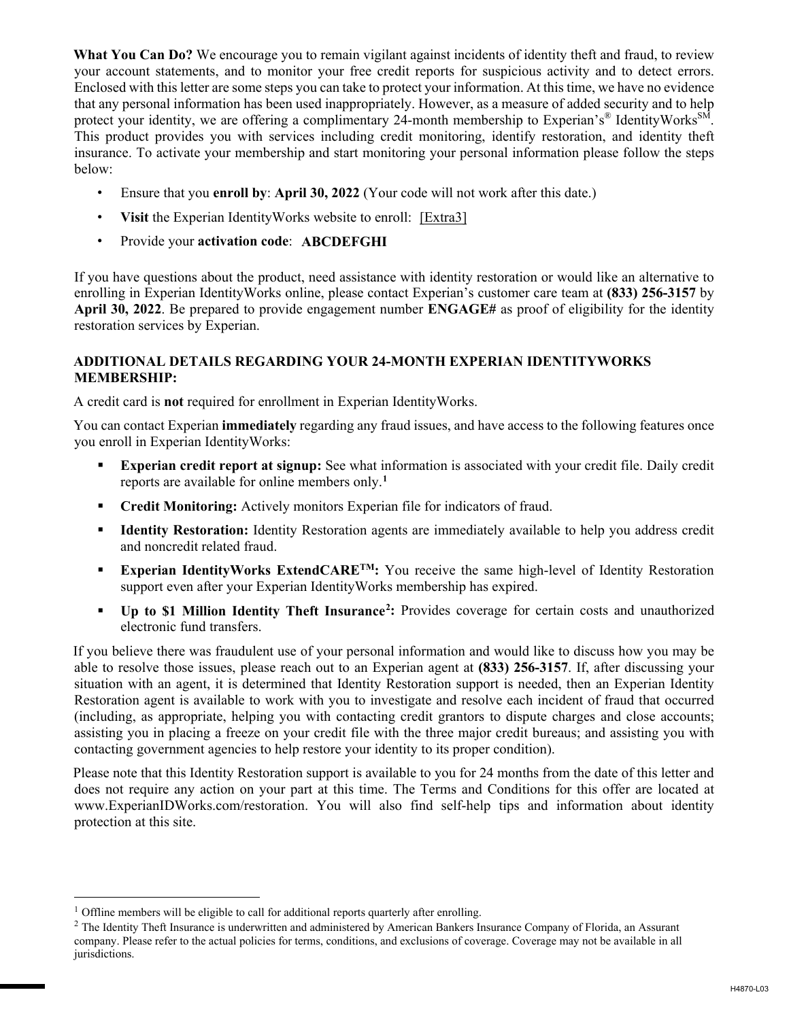**What You Can Do?** We encourage you to remain vigilant against incidents of identity theft and fraud, to review your account statements, and to monitor your free credit reports for suspicious activity and to detect errors. Enclosed with this letter are some steps you can take to protect your information. At this time, we have no evidence that any personal information has been used inappropriately. However, as a measure of added security and to help protect your identity, we are offering a complimentary 24-month membership to Experian's<sup>®</sup> IdentityWorks<sup>SM</sup>. This product provides you with services including credit monitoring, identify restoration, and identity theft insurance. To activate your membership and start monitoring your personal information please follow the steps below:

- Ensure that you **enroll by**: **April 30, 2022** (Your code will not work after this date.)
- Visit the Experian Identity Works website to enroll: [Extra3]
- Provide your **activation code**: **ABCDEFGHI**

If you have questions about the product, need assistance with identity restoration or would like an alternative to enrolling in Experian IdentityWorks online, please contact Experian's customer care team at **(833) 256-3157** by **April 30, 2022**. Be prepared to provide engagement number **ENGAGE#** as proof of eligibility for the identity restoration services by Experian.

## **ADDITIONAL DETAILS REGARDING YOUR 24-MONTH EXPERIAN IDENTITYWORKS MEMBERSHIP:**

A credit card is **not** required for enrollment in Experian IdentityWorks.

You can contact Experian **immediately** regarding any fraud issues, and have access to the following features once you enroll in Experian IdentityWorks:

- **Experian credit report at signup:** See what information is associated with your credit file. Daily credit reports are available for online members only.**<sup>1</sup>**
- **Credit Monitoring:** Actively monitors Experian file for indicators of fraud.
- **Identity Restoration:** Identity Restoration agents are immediately available to help you address credit and noncredit related fraud.
- **Experian IdentityWorks ExtendCARE<sup>TM</sup>:** You receive the same high-level of Identity Restoration support even after your Experian IdentityWorks membership has expired.
- **Up to \$1 Million Identity Theft Insurance<sup>2</sup>:** Provides coverage for certain costs and unauthorized electronic fund transfers.

If you believe there was fraudulent use of your personal information and would like to discuss how you may be able to resolve those issues, please reach out to an Experian agent at **(833) 256-3157**. If, after discussing your situation with an agent, it is determined that Identity Restoration support is needed, then an Experian Identity Restoration agent is available to work with you to investigate and resolve each incident of fraud that occurred (including, as appropriate, helping you with contacting credit grantors to dispute charges and close accounts; assisting you in placing a freeze on your credit file with the three major credit bureaus; and assisting you with contacting government agencies to help restore your identity to its proper condition).

Please note that this Identity Restoration support is available to you for 24 months from the date of this letter and does not require any action on your part at this time. The Terms and Conditions for this offer are located at www.ExperianIDWorks.com/restoration. You will also find self-help tips and information about identity protection at this site.

 $\overline{a}$ 

<sup>&</sup>lt;sup>1</sup> Offline members will be eligible to call for additional reports quarterly after enrolling.

<sup>&</sup>lt;sup>2</sup> The Identity Theft Insurance is underwritten and administered by American Bankers Insurance Company of Florida, an Assurant company. Please refer to the actual policies for terms, conditions, and exclusions of coverage. Coverage may not be available in all jurisdictions.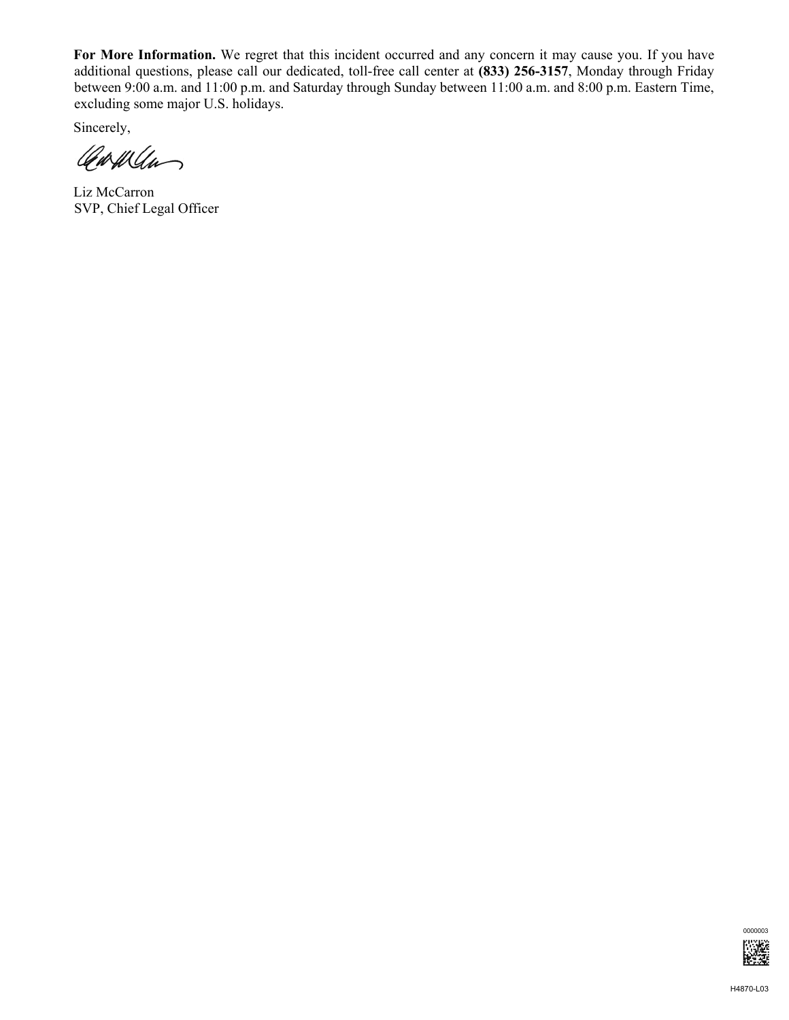**For More Information.** We regret that this incident occurred and any concern it may cause you. If you have additional questions, please call our dedicated, toll-free call center at **(833) 256-3157**, Monday through Friday between 9:00 a.m. and 11:00 p.m. and Saturday through Sunday between 11:00 a.m. and 8:00 p.m. Eastern Time, excluding some major U.S. holidays.

Sincerely,

Carwan

Liz McCarron SVP, Chief Legal Officer

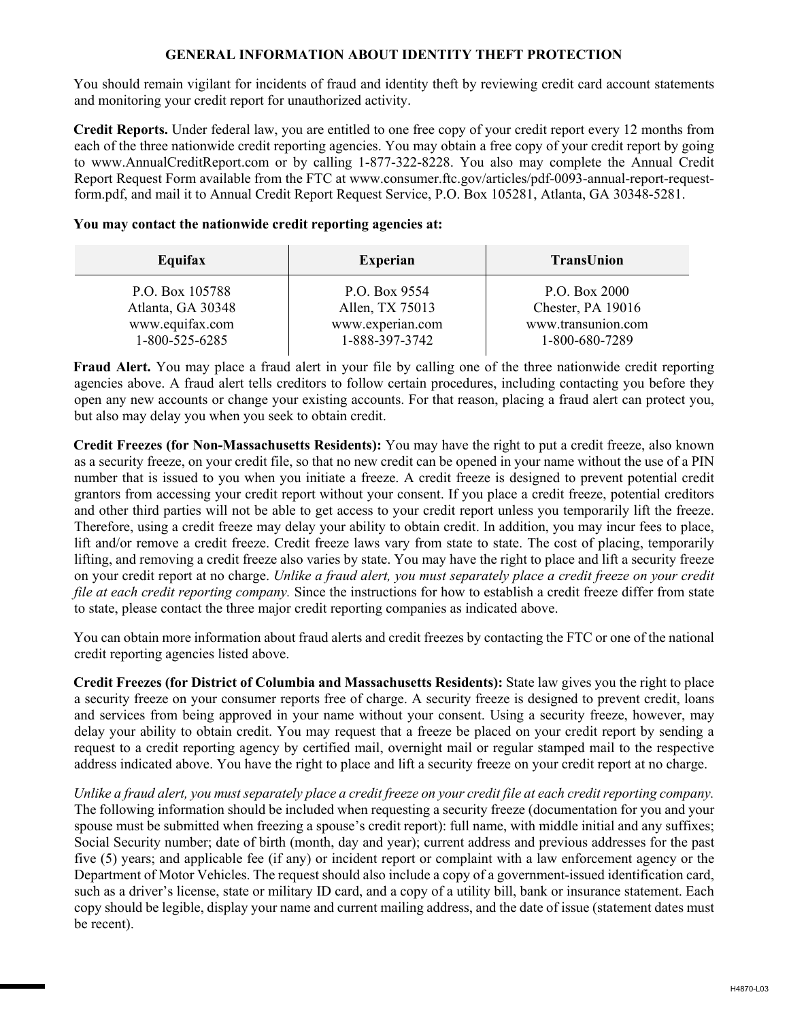## **GENERAL INFORMATION ABOUT IDENTITY THEFT PROTECTION**

You should remain vigilant for incidents of fraud and identity theft by reviewing credit card account statements and monitoring your credit report for unauthorized activity.

**Credit Reports.** Under federal law, you are entitled to one free copy of your credit report every 12 months from each of the three nationwide credit reporting agencies. You may obtain a free copy of your credit report by going to www.AnnualCreditReport.com or by calling 1-877-322-8228. You also may complete the Annual Credit Report Request Form available from the FTC at www.consumer.ftc.gov/articles/pdf-0093-annual-report-requestform.pdf, and mail it to Annual Credit Report Request Service, P.O. Box 105281, Atlanta, GA 30348-5281.

## **You may contact the nationwide credit reporting agencies at:**

| Equifax           | <b>Experian</b>  | <b>TransUnion</b>  |
|-------------------|------------------|--------------------|
| P.O. Box 105788   | P.O. Box 9554    | P.O. Box 2000      |
| Atlanta, GA 30348 | Allen, TX 75013  | Chester, PA 19016  |
| www.equifax.com   | www.experian.com | www.transunion.com |
| 1-800-525-6285    | 1-888-397-3742   | 1-800-680-7289     |

**Fraud Alert.** You may place a fraud alert in your file by calling one of the three nationwide credit reporting agencies above. A fraud alert tells creditors to follow certain procedures, including contacting you before they open any new accounts or change your existing accounts. For that reason, placing a fraud alert can protect you, but also may delay you when you seek to obtain credit.

**Credit Freezes (for Non-Massachusetts Residents):** You may have the right to put a credit freeze, also known as a security freeze, on your credit file, so that no new credit can be opened in your name without the use of a PIN number that is issued to you when you initiate a freeze. A credit freeze is designed to prevent potential credit grantors from accessing your credit report without your consent. If you place a credit freeze, potential creditors and other third parties will not be able to get access to your credit report unless you temporarily lift the freeze. Therefore, using a credit freeze may delay your ability to obtain credit. In addition, you may incur fees to place, lift and/or remove a credit freeze. Credit freeze laws vary from state to state. The cost of placing, temporarily lifting, and removing a credit freeze also varies by state. You may have the right to place and lift a security freeze on your credit report at no charge. *Unlike a fraud alert, you must separately place a credit freeze on your credit file at each credit reporting company.* Since the instructions for how to establish a credit freeze differ from state to state, please contact the three major credit reporting companies as indicated above.

You can obtain more information about fraud alerts and credit freezes by contacting the FTC or one of the national credit reporting agencies listed above.

**Credit Freezes (for District of Columbia and Massachusetts Residents):** State law gives you the right to place a security freeze on your consumer reports free of charge. A security freeze is designed to prevent credit, loans and services from being approved in your name without your consent. Using a security freeze, however, may delay your ability to obtain credit. You may request that a freeze be placed on your credit report by sending a request to a credit reporting agency by certified mail, overnight mail or regular stamped mail to the respective address indicated above. You have the right to place and lift a security freeze on your credit report at no charge.

*Unlike a fraud alert, you must separately place a credit freeze on your credit file at each credit reporting company.*  The following information should be included when requesting a security freeze (documentation for you and your spouse must be submitted when freezing a spouse's credit report): full name, with middle initial and any suffixes; Social Security number; date of birth (month, day and year); current address and previous addresses for the past five (5) years; and applicable fee (if any) or incident report or complaint with a law enforcement agency or the Department of Motor Vehicles. The request should also include a copy of a government-issued identification card, such as a driver's license, state or military ID card, and a copy of a utility bill, bank or insurance statement. Each copy should be legible, display your name and current mailing address, and the date of issue (statement dates must be recent).